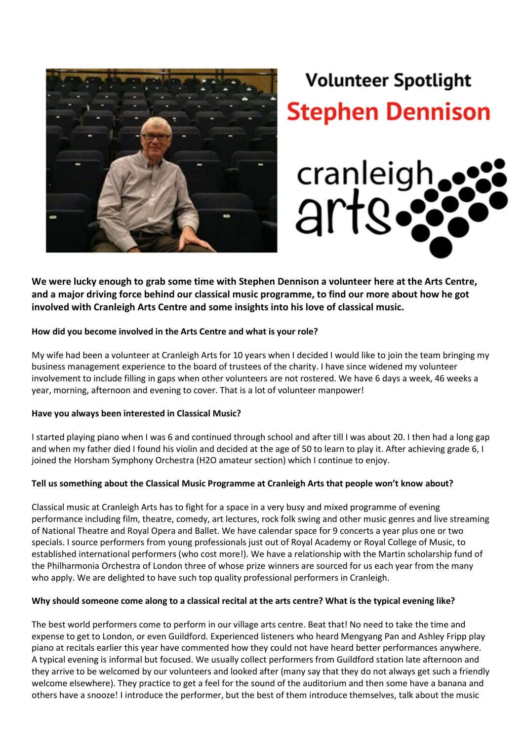

# **Volunteer Spotlight Stephen Dennison**



We were lucky enough to grab some time with Stephen Dennison a volunteer here at the Arts Centre, and a major driving force behind our classical music programme, to find our more about how he got involved with Cranleigh Arts Centre and some insights into his love of classical music.

### How did you become involved in the Arts Centre and what is your role?

My wife had been a volunteer at Cranleigh Arts for 10 years when I decided I would like to join the team bringing my business management experience to the board of trustees of the charity. I have since widened my volunteer involvement to include filling in gaps when other volunteers are not rostered. We have 6 days a week, 46 weeks a year, morning, afternoon and evening to cover. That is a lot of volunteer manpower!

#### Have you always been interested in Classical Music?

I started playing piano when I was 6 and continued through school and after till I was about 20. I then had a long gap and when my father died I found his violin and decided at the age of 50 to learn to play it. After achieving grade 6, I joined the Horsham Symphony Orchestra (H2O amateur section) which I continue to enjoy.

#### Tell us something about the Classical Music Programme at Cranleigh Arts that people won't know about?

Classical music at Cranleigh Arts has to fight for a space in a very busy and mixed programme of evening performance including film, theatre, comedy, art lectures, rock folk swing and other music genres and live streaming of National Theatre and Royal Opera and Ballet. We have calendar space for 9 concerts a year plus one or two specials. I source performers from young professionals just out of Royal Academy or Royal College of Music, to established international performers (who cost more!). We have a relationship with the Martin scholarship fund of the Philharmonia Orchestra of London three of whose prize winners are sourced for us each year from the many who apply. We are delighted to have such top quality professional performers in Cranleigh.

#### Why should someone come along to a classical recital at the arts centre? What is the typical evening like?

The best world performers come to perform in our village arts centre. Beat that! No need to take the time and expense to get to London, or even Guildford. Experienced listeners who heard Mengyang Pan and Ashley Fripp play piano at recitals earlier this year have commented how they could not have heard better performances anywhere. A typical evening is informal but focused. We usually collect performers from Guildford station late afternoon and they arrive to be welcomed by our volunteers and looked after (many say that they do not always get such a friendly welcome elsewhere). They practice to get a feel for the sound of the auditorium and then some have a banana and others have a snooze! I introduce the performer, but the best of them introduce themselves, talk about the music